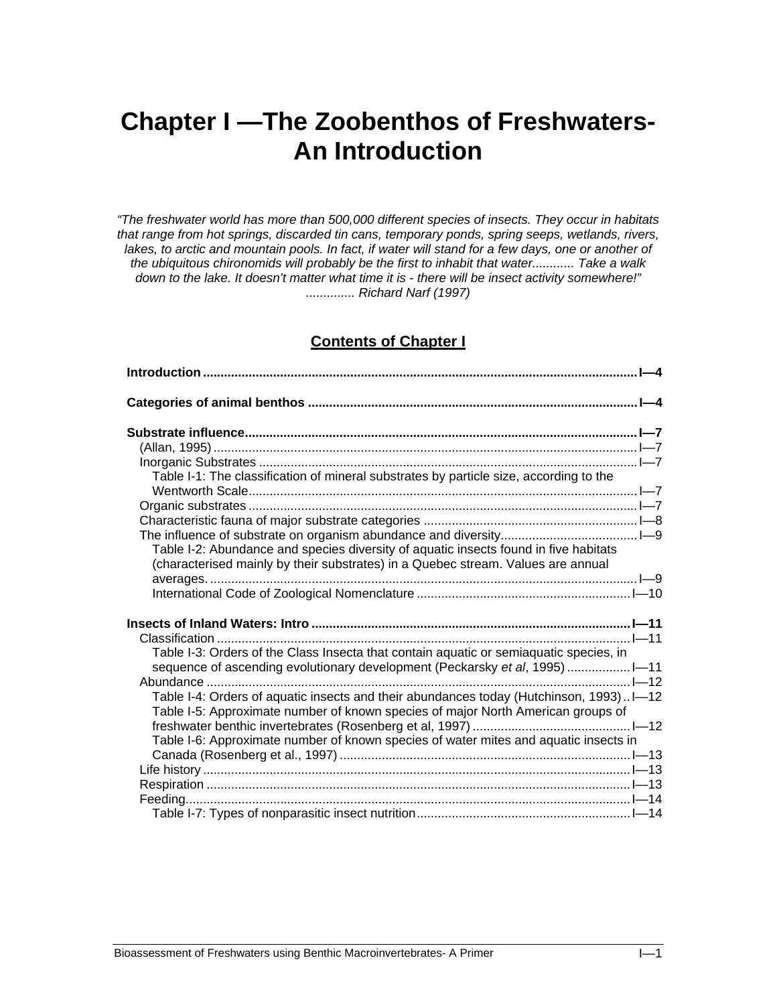# **Chapter I —The Zoobenthos of Freshwaters-An Introduction**

*"The freshwater world has more than 500,000 different species of insects. They occur in habitats that range from hot springs, discarded tin cans, temporary ponds, spring seeps, wetlands, rivers,*  lakes, to arctic and mountain pools. In fact, if water will stand for a few days, one or another of *the ubiquitous chironomids will probably be the first to inhabit that water............ Take a walk down to the lake. It doesn't matter what time it is - there will be insect activity somewhere!" .............. Richard Narf (1997)* 

# **Contents of Chapter I**

| Table I-1: The classification of mineral substrates by particle size, according to the |  |
|----------------------------------------------------------------------------------------|--|
|                                                                                        |  |
|                                                                                        |  |
|                                                                                        |  |
|                                                                                        |  |
| Table I-2: Abundance and species diversity of aquatic insects found in five habitats   |  |
| (characterised mainly by their substrates) in a Quebec stream. Values are annual       |  |
|                                                                                        |  |
|                                                                                        |  |
|                                                                                        |  |
|                                                                                        |  |
| Table I-3: Orders of the Class Insecta that contain aquatic or semiaquatic species, in |  |
| sequence of ascending evolutionary development (Peckarsky et al, 1995) 1-11            |  |
|                                                                                        |  |
| Table I-4: Orders of aquatic insects and their abundances today (Hutchinson, 1993)I-12 |  |
| Table I-5: Approximate number of known species of major North American groups of       |  |
|                                                                                        |  |
| Table I-6: Approximate number of known species of water mites and aquatic insects in   |  |
|                                                                                        |  |
|                                                                                        |  |
|                                                                                        |  |
|                                                                                        |  |
|                                                                                        |  |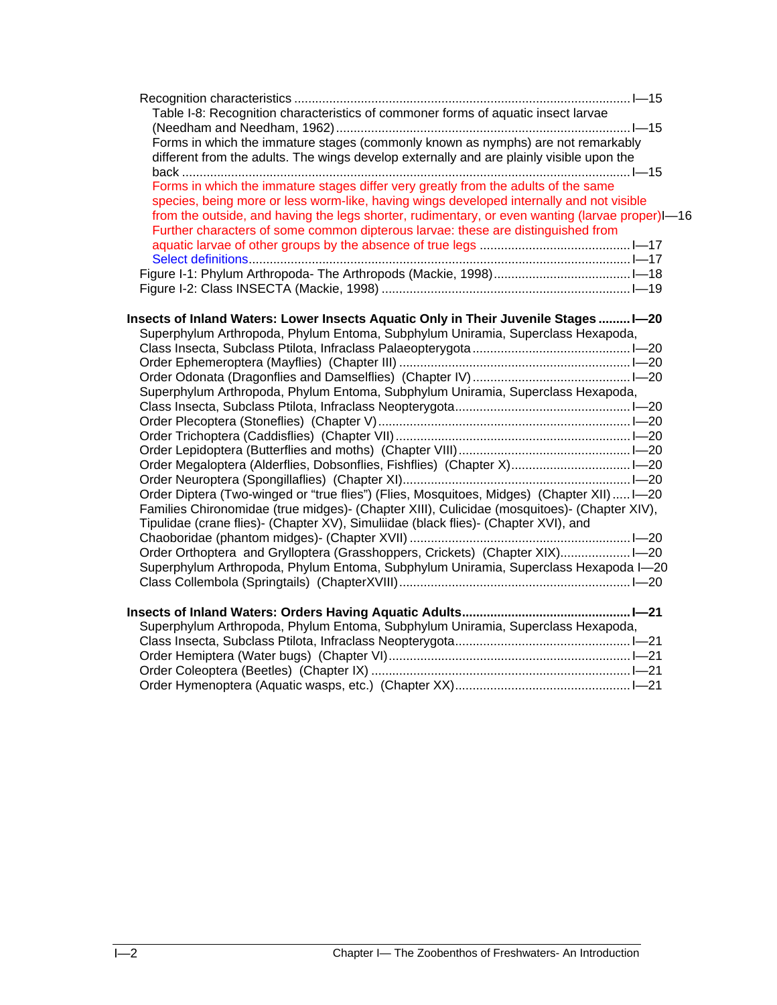| Table I-8: Recognition characteristics of commoner forms of aquatic insect larvae               |  |
|-------------------------------------------------------------------------------------------------|--|
|                                                                                                 |  |
| Forms in which the immature stages (commonly known as nymphs) are not remarkably                |  |
| different from the adults. The wings develop externally and are plainly visible upon the        |  |
|                                                                                                 |  |
| Forms in which the immature stages differ very greatly from the adults of the same              |  |
| species, being more or less worm-like, having wings developed internally and not visible        |  |
| from the outside, and having the legs shorter, rudimentary, or even wanting (larvae proper)I-16 |  |
| Further characters of some common dipterous larvae: these are distinguished from                |  |
|                                                                                                 |  |
|                                                                                                 |  |
|                                                                                                 |  |
|                                                                                                 |  |
|                                                                                                 |  |
| Insects of Inland Waters: Lower Insects Aquatic Only in Their Juvenile StagesI-20               |  |
| Superphylum Arthropoda, Phylum Entoma, Subphylum Uniramia, Superclass Hexapoda,                 |  |
|                                                                                                 |  |
|                                                                                                 |  |
| Superphylum Arthropoda, Phylum Entoma, Subphylum Uniramia, Superclass Hexapoda,                 |  |
|                                                                                                 |  |
|                                                                                                 |  |
|                                                                                                 |  |
|                                                                                                 |  |
|                                                                                                 |  |
|                                                                                                 |  |
| Order Diptera (Two-winged or "true flies") (Flies, Mosquitoes, Midges) (Chapter XII) I-20       |  |
| Families Chironomidae (true midges)- (Chapter XIII), Culicidae (mosquitoes)- (Chapter XIV),     |  |
| Tipulidae (crane flies)- (Chapter XV), Simuliidae (black flies)- (Chapter XVI), and             |  |
|                                                                                                 |  |
|                                                                                                 |  |
| Superphylum Arthropoda, Phylum Entoma, Subphylum Uniramia, Superclass Hexapoda I-20             |  |
|                                                                                                 |  |
|                                                                                                 |  |
|                                                                                                 |  |
| Superphylum Arthropoda, Phylum Entoma, Subphylum Uniramia, Superclass Hexapoda,                 |  |
|                                                                                                 |  |
|                                                                                                 |  |
|                                                                                                 |  |
|                                                                                                 |  |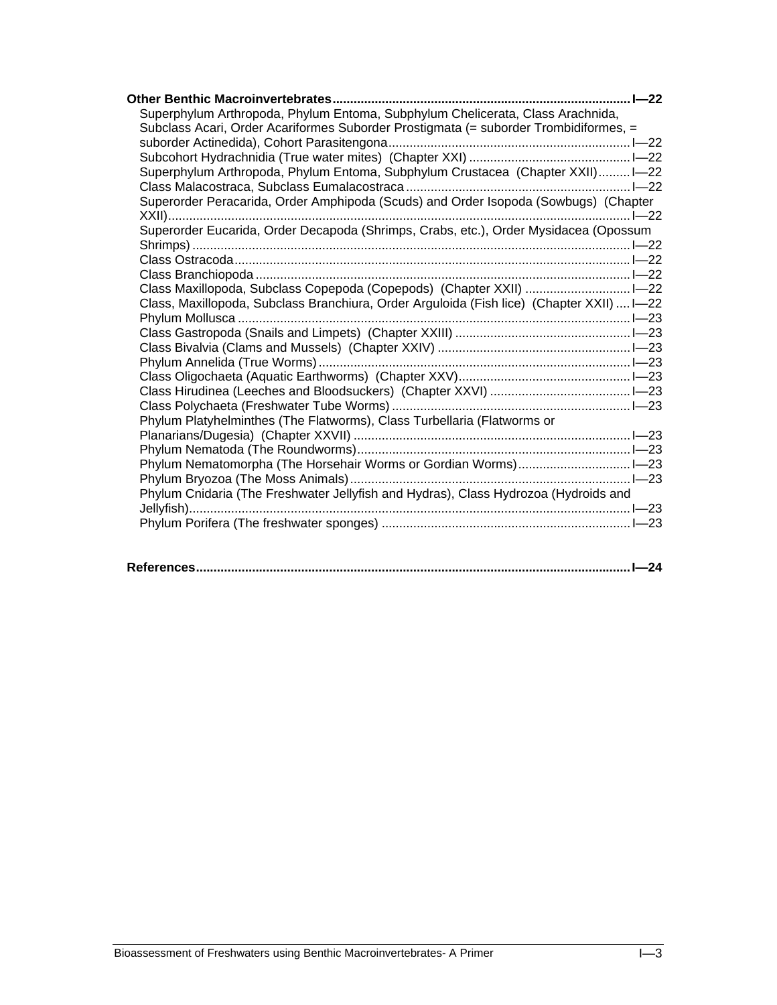| Superphylum Arthropoda, Phylum Entoma, Subphylum Chelicerata, Class Arachnida,            |  |
|-------------------------------------------------------------------------------------------|--|
| Subclass Acari, Order Acariformes Suborder Prostigmata (= suborder Trombidiformes, =      |  |
|                                                                                           |  |
|                                                                                           |  |
| Superphylum Arthropoda, Phylum Entoma, Subphylum Crustacea (Chapter XXII) I-22            |  |
|                                                                                           |  |
| Superorder Peracarida, Order Amphipoda (Scuds) and Order Isopoda (Sowbugs) (Chapter       |  |
|                                                                                           |  |
| Superorder Eucarida, Order Decapoda (Shrimps, Crabs, etc.), Order Mysidacea (Opossum      |  |
|                                                                                           |  |
|                                                                                           |  |
|                                                                                           |  |
|                                                                                           |  |
| Class, Maxillopoda, Subclass Branchiura, Order Arguloida (Fish lice) (Chapter XXII)  I-22 |  |
|                                                                                           |  |
|                                                                                           |  |
|                                                                                           |  |
|                                                                                           |  |
|                                                                                           |  |
|                                                                                           |  |
|                                                                                           |  |
| Phylum Platyhelminthes (The Flatworms), Class Turbellaria (Flatworms or                   |  |
|                                                                                           |  |
|                                                                                           |  |
|                                                                                           |  |
|                                                                                           |  |
| Phylum Cnidaria (The Freshwater Jellyfish and Hydras), Class Hydrozoa (Hydroids and       |  |
|                                                                                           |  |
|                                                                                           |  |
|                                                                                           |  |

|--|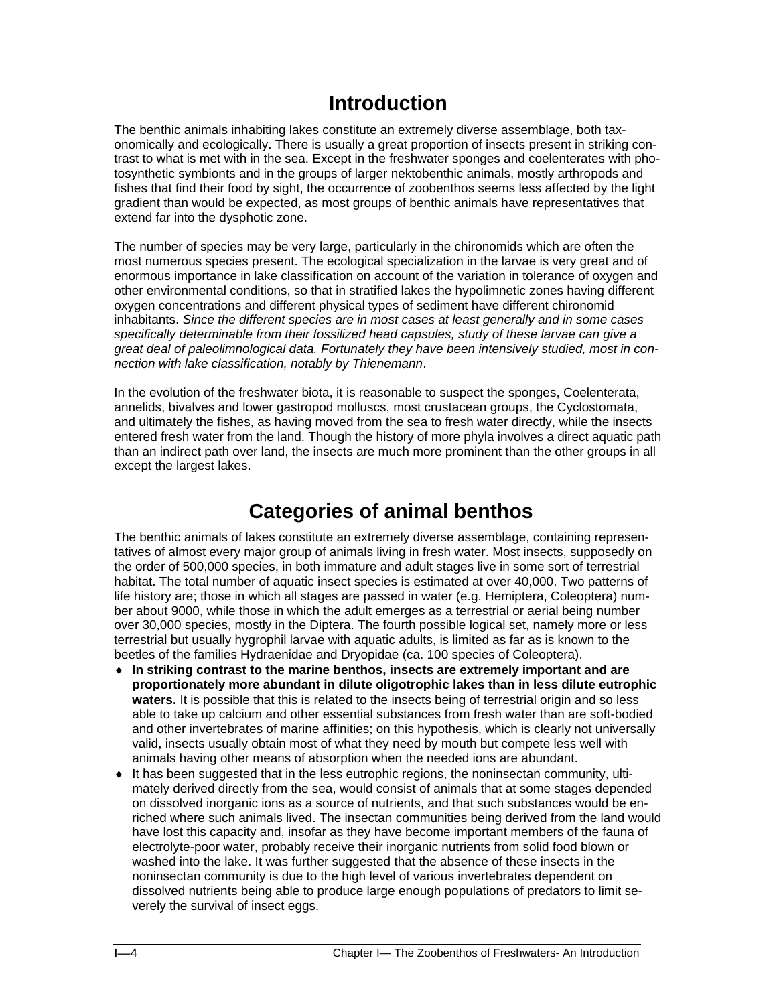# **Introduction**

The benthic animals inhabiting lakes constitute an extremely diverse assemblage, both taxonomically and ecologically. There is usually a great proportion of insects present in striking contrast to what is met with in the sea. Except in the freshwater sponges and coelenterates with photosynthetic symbionts and in the groups of larger nektobenthic animals, mostly arthropods and fishes that find their food by sight, the occurrence of zoobenthos seems less affected by the light gradient than would be expected, as most groups of benthic animals have representatives that extend far into the dysphotic zone.

The number of species may be very large, particularly in the chironomids which are often the most numerous species present. The ecological specialization in the larvae is very great and of enormous importance in lake classification on account of the variation in tolerance of oxygen and other environmental conditions, so that in stratified lakes the hypolimnetic zones having different oxygen concentrations and different physical types of sediment have different chironomid inhabitants. *Since the different species are in most cases at least generally and in some cases specifically determinable from their fossilized head capsules, study of these larvae can give a great deal of paleolimnological data. Fortunately they have been intensively studied, most in connection with lake classification, notably by Thienemann*.

In the evolution of the freshwater biota, it is reasonable to suspect the sponges, Coelenterata, annelids, bivalves and lower gastropod molluscs, most crustacean groups, the Cyclostomata, and ultimately the fishes, as having moved from the sea to fresh water directly, while the insects entered fresh water from the land. Though the history of more phyla involves a direct aquatic path than an indirect path over land, the insects are much more prominent than the other groups in all except the largest lakes.

# **Categories of animal benthos**

The benthic animals of lakes constitute an extremely diverse assemblage, containing representatives of almost every major group of animals living in fresh water. Most insects, supposedly on the order of 500,000 species, in both immature and adult stages live in some sort of terrestrial habitat. The total number of aquatic insect species is estimated at over 40,000. Two patterns of life history are; those in which all stages are passed in water (e.g. Hemiptera, Coleoptera) number about 9000, while those in which the adult emerges as a terrestrial or aerial being number over 30,000 species, mostly in the Diptera. The fourth possible logical set, namely more or less terrestrial but usually hygrophil larvae with aquatic adults, is limited as far as is known to the beetles of the families Hydraenidae and Dryopidae (ca. 100 species of Coleoptera).

- ♦ **In striking contrast to the marine benthos, insects are extremely important and are proportionately more abundant in dilute oligotrophic lakes than in less dilute eutrophic waters.** It is possible that this is related to the insects being of terrestrial origin and so less able to take up calcium and other essential substances from fresh water than are soft-bodied and other invertebrates of marine affinities; on this hypothesis, which is clearly not universally valid, insects usually obtain most of what they need by mouth but compete less well with animals having other means of absorption when the needed ions are abundant.
- ♦ It has been suggested that in the less eutrophic regions, the noninsectan community, ultimately derived directly from the sea, would consist of animals that at some stages depended on dissolved inorganic ions as a source of nutrients, and that such substances would be enriched where such animals lived. The insectan communities being derived from the land would have lost this capacity and, insofar as they have become important members of the fauna of electrolyte-poor water, probably receive their inorganic nutrients from solid food blown or washed into the lake. It was further suggested that the absence of these insects in the noninsectan community is due to the high level of various invertebrates dependent on dissolved nutrients being able to produce large enough populations of predators to limit severely the survival of insect eggs.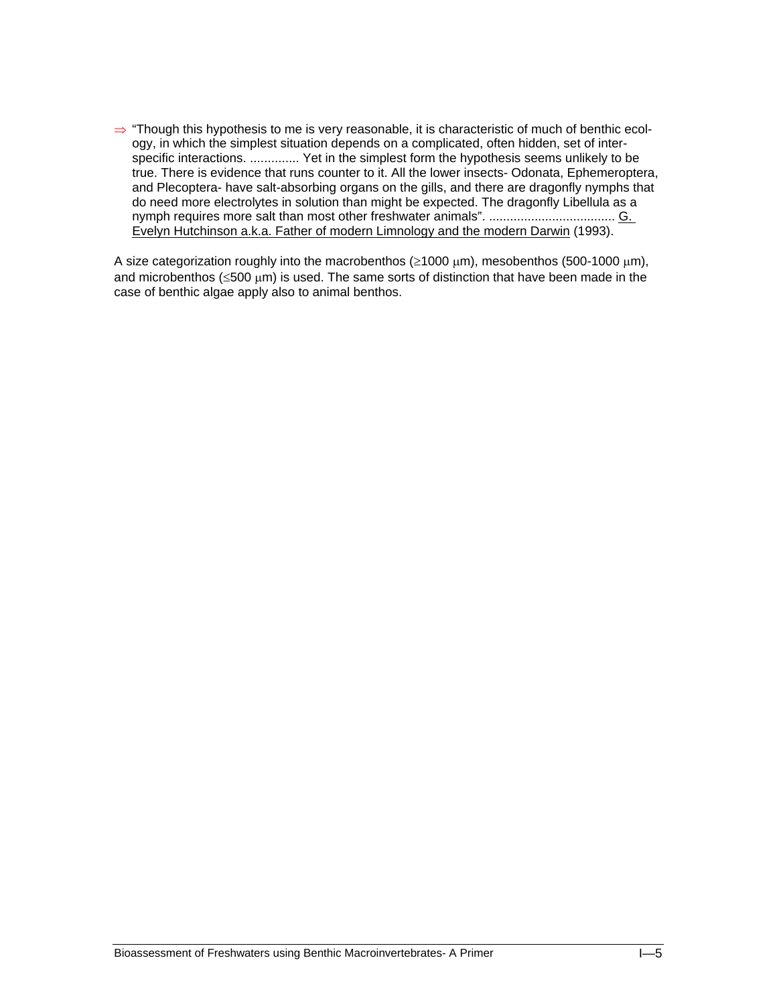⇒ "Though this hypothesis to me is very reasonable, it is characteristic of much of benthic ecology, in which the simplest situation depends on a complicated, often hidden, set of interspecific interactions. .............. Yet in the simplest form the hypothesis seems unlikely to be true. There is evidence that runs counter to it. All the lower insects- Odonata, Ephemeroptera, and Plecoptera- have salt-absorbing organs on the gills, and there are dragonfly nymphs that do need more electrolytes in solution than might be expected. The dragonfly Libellula as a nymph requires more salt than most other freshwater animals". .................................... G. Evelyn Hutchinson a.k.a. Father of modern Limnology and the modern Darwin (1993).

A size categorization roughly into the macrobenthos ( $\geq 1000 \text{ µm}$ ), mesobenthos (500-1000  $\text{µm}$ ), and microbenthos ( $\leq 500 \text{ }\mu\text{m}$ ) is used. The same sorts of distinction that have been made in the case of benthic algae apply also to animal benthos.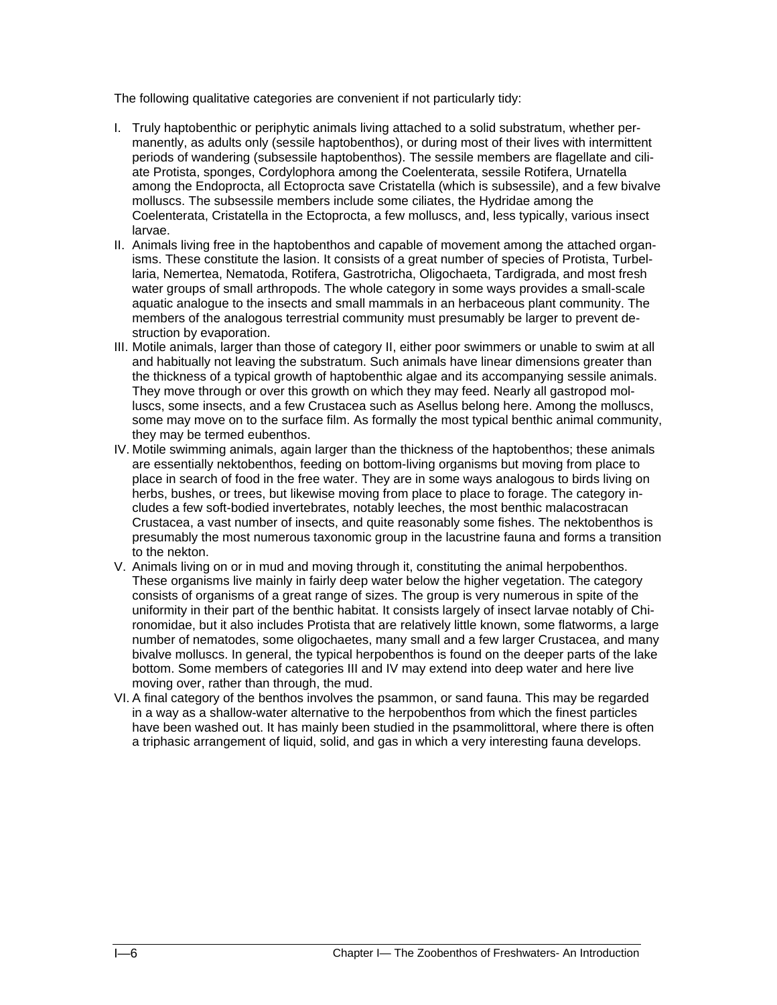The following qualitative categories are convenient if not particularly tidy:

- I. Truly haptobenthic or periphytic animals living attached to a solid substratum, whether permanently, as adults only (sessile haptobenthos), or during most of their lives with intermittent periods of wandering (subsessile haptobenthos). The sessile members are flagellate and ciliate Protista, sponges, Cordylophora among the Coelenterata, sessile Rotifera, Urnatella among the Endoprocta, all Ectoprocta save Cristatella (which is subsessile), and a few bivalve molluscs. The subsessile members include some ciliates, the Hydridae among the Coelenterata, Cristatella in the Ectoprocta, a few molluscs, and, less typically, various insect larvae.
- II. Animals living free in the haptobenthos and capable of movement among the attached organisms. These constitute the lasion. It consists of a great number of species of Protista, Turbellaria, Nemertea, Nematoda, Rotifera, Gastrotricha, Oligochaeta, Tardigrada, and most fresh water groups of small arthropods. The whole category in some ways provides a small-scale aquatic analogue to the insects and small mammals in an herbaceous plant community. The members of the analogous terrestrial community must presumably be larger to prevent destruction by evaporation.
- III. Motile animals, larger than those of category II, either poor swimmers or unable to swim at all and habitually not leaving the substratum. Such animals have linear dimensions greater than the thickness of a typical growth of haptobenthic algae and its accompanying sessile animals. They move through or over this growth on which they may feed. Nearly all gastropod molluscs, some insects, and a few Crustacea such as Asellus belong here. Among the molluscs, some may move on to the surface film. As formally the most typical benthic animal community, they may be termed eubenthos.
- IV. Motile swimming animals, again larger than the thickness of the haptobenthos; these animals are essentially nektobenthos, feeding on bottom-living organisms but moving from place to place in search of food in the free water. They are in some ways analogous to birds living on herbs, bushes, or trees, but likewise moving from place to place to forage. The category includes a few soft-bodied invertebrates, notably leeches, the most benthic malacostracan Crustacea, a vast number of insects, and quite reasonably some fishes. The nektobenthos is presumably the most numerous taxonomic group in the lacustrine fauna and forms a transition to the nekton.
- V. Animals living on or in mud and moving through it, constituting the animal herpobenthos. These organisms live mainly in fairly deep water below the higher vegetation. The category consists of organisms of a great range of sizes. The group is very numerous in spite of the uniformity in their part of the benthic habitat. It consists largely of insect larvae notably of Chironomidae, but it also includes Protista that are relatively little known, some flatworms, a large number of nematodes, some oligochaetes, many small and a few larger Crustacea, and many bivalve molluscs. In general, the typical herpobenthos is found on the deeper parts of the lake bottom. Some members of categories III and IV may extend into deep water and here live moving over, rather than through, the mud.
- VI. A final category of the benthos involves the psammon, or sand fauna. This may be regarded in a way as a shallow-water alternative to the herpobenthos from which the finest particles have been washed out. It has mainly been studied in the psammolittoral, where there is often a triphasic arrangement of liquid, solid, and gas in which a very interesting fauna develops.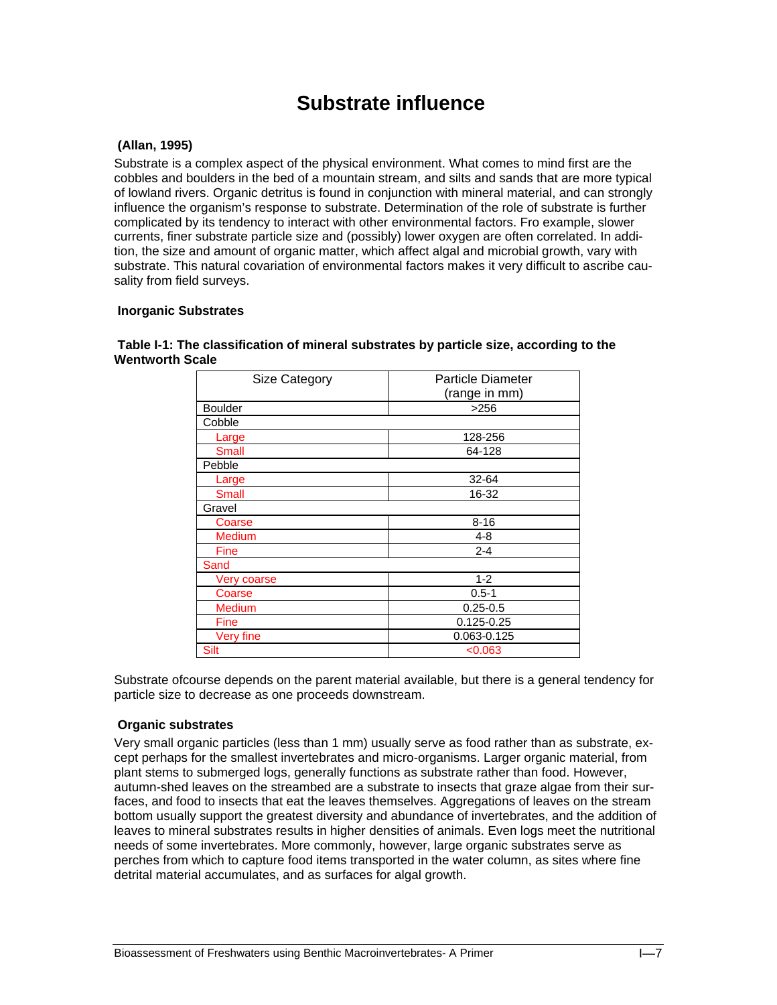# **Substrate influence**

# **(Allan, 1995)**

Substrate is a complex aspect of the physical environment. What comes to mind first are the cobbles and boulders in the bed of a mountain stream, and silts and sands that are more typical of lowland rivers. Organic detritus is found in conjunction with mineral material, and can strongly influence the organism's response to substrate. Determination of the role of substrate is further complicated by its tendency to interact with other environmental factors. Fro example, slower currents, finer substrate particle size and (possibly) lower oxygen are often correlated. In addition, the size and amount of organic matter, which affect algal and microbial growth, vary with substrate. This natural covariation of environmental factors makes it very difficult to ascribe causality from field surveys.

## **Inorganic Substrates**

| Size Category    | Particle Diameter |  |  |  |
|------------------|-------------------|--|--|--|
|                  | (range in mm)     |  |  |  |
| <b>Boulder</b>   | >256              |  |  |  |
| Cobble           |                   |  |  |  |
| Large            | 128-256           |  |  |  |
| <b>Small</b>     | 64-128            |  |  |  |
| Pebble           |                   |  |  |  |
| Large            | $32 - 64$         |  |  |  |
| <b>Small</b>     | 16-32             |  |  |  |
| Gravel           |                   |  |  |  |
| Coarse           | $8 - 16$          |  |  |  |
| <b>Medium</b>    | $4 - 8$           |  |  |  |
| <b>Fine</b>      | $2 - 4$           |  |  |  |
| Sand             |                   |  |  |  |
| Very coarse      | $1 - 2$           |  |  |  |
| Coarse           | $0.5 - 1$         |  |  |  |
| <b>Medium</b>    | $0.25 - 0.5$      |  |  |  |
| <b>Fine</b>      | $0.125 - 0.25$    |  |  |  |
| <b>Very fine</b> | 0.063-0.125       |  |  |  |
| <b>Silt</b>      | < 0.063           |  |  |  |

 **Table I-1: The classification of mineral substrates by particle size, according to the Wentworth Scale** 

Substrate ofcourse depends on the parent material available, but there is a general tendency for particle size to decrease as one proceeds downstream.

## **Organic substrates**

Very small organic particles (less than 1 mm) usually serve as food rather than as substrate, except perhaps for the smallest invertebrates and micro-organisms. Larger organic material, from plant stems to submerged logs, generally functions as substrate rather than food. However, autumn-shed leaves on the streambed are a substrate to insects that graze algae from their surfaces, and food to insects that eat the leaves themselves. Aggregations of leaves on the stream bottom usually support the greatest diversity and abundance of invertebrates, and the addition of leaves to mineral substrates results in higher densities of animals. Even logs meet the nutritional needs of some invertebrates. More commonly, however, large organic substrates serve as perches from which to capture food items transported in the water column, as sites where fine detrital material accumulates, and as surfaces for algal growth.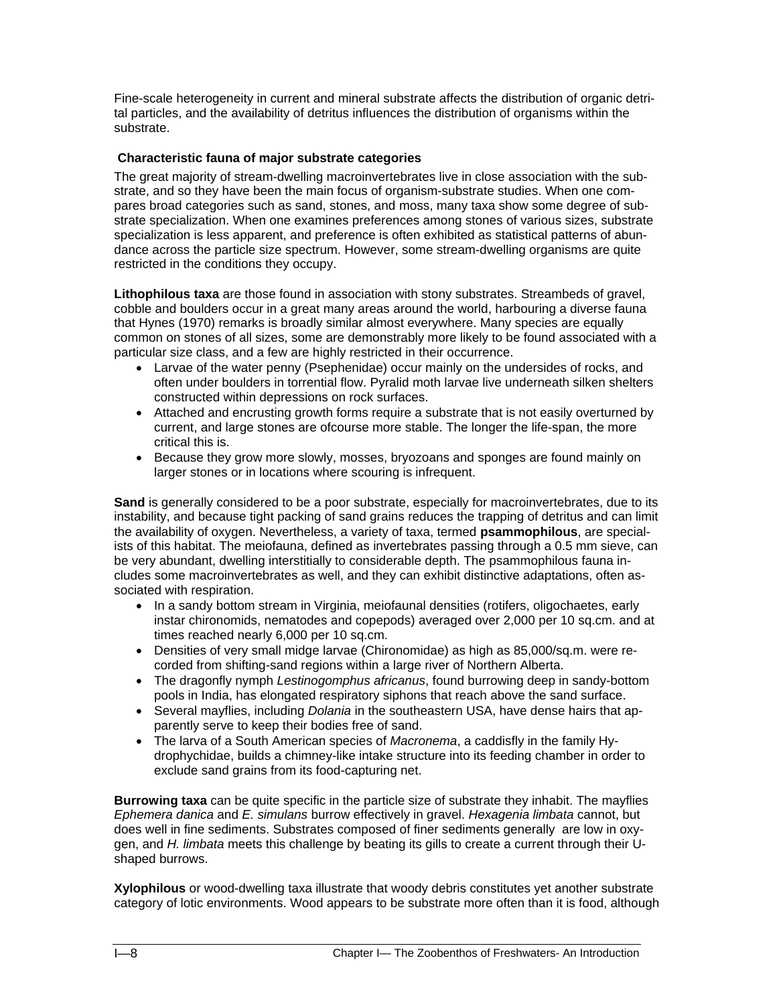Fine-scale heterogeneity in current and mineral substrate affects the distribution of organic detrital particles, and the availability of detritus influences the distribution of organisms within the substrate.

### **Characteristic fauna of major substrate categories**

The great majority of stream-dwelling macroinvertebrates live in close association with the substrate, and so they have been the main focus of organism-substrate studies. When one compares broad categories such as sand, stones, and moss, many taxa show some degree of substrate specialization. When one examines preferences among stones of various sizes, substrate specialization is less apparent, and preference is often exhibited as statistical patterns of abundance across the particle size spectrum. However, some stream-dwelling organisms are quite restricted in the conditions they occupy.

**Lithophilous taxa** are those found in association with stony substrates. Streambeds of gravel, cobble and boulders occur in a great many areas around the world, harbouring a diverse fauna that Hynes (1970) remarks is broadly similar almost everywhere. Many species are equally common on stones of all sizes, some are demonstrably more likely to be found associated with a particular size class, and a few are highly restricted in their occurrence.

- Larvae of the water penny (Psephenidae) occur mainly on the undersides of rocks, and often under boulders in torrential flow. Pyralid moth larvae live underneath silken shelters constructed within depressions on rock surfaces.
- Attached and encrusting growth forms require a substrate that is not easily overturned by current, and large stones are ofcourse more stable. The longer the life-span, the more critical this is.
- Because they grow more slowly, mosses, bryozoans and sponges are found mainly on larger stones or in locations where scouring is infrequent.

**Sand** is generally considered to be a poor substrate, especially for macroinvertebrates, due to its instability, and because tight packing of sand grains reduces the trapping of detritus and can limit the availability of oxygen. Nevertheless, a variety of taxa, termed **psammophilous**, are specialists of this habitat. The meiofauna, defined as invertebrates passing through a 0.5 mm sieve, can be very abundant, dwelling interstitially to considerable depth. The psammophilous fauna includes some macroinvertebrates as well, and they can exhibit distinctive adaptations, often associated with respiration.

- In a sandy bottom stream in Virginia, meiofaunal densities (rotifers, oligochaetes, early instar chironomids, nematodes and copepods) averaged over 2,000 per 10 sq.cm. and at times reached nearly 6,000 per 10 sq.cm.
- Densities of very small midge larvae (Chironomidae) as high as 85,000/sq.m. were recorded from shifting-sand regions within a large river of Northern Alberta.
- The dragonfly nymph *Lestinogomphus africanus*, found burrowing deep in sandy-bottom pools in India, has elongated respiratory siphons that reach above the sand surface.
- Several mayflies, including *Dolania* in the southeastern USA, have dense hairs that apparently serve to keep their bodies free of sand.
- The larva of a South American species of *Macronema*, a caddisfly in the family Hydrophychidae, builds a chimney-like intake structure into its feeding chamber in order to exclude sand grains from its food-capturing net.

**Burrowing taxa** can be quite specific in the particle size of substrate they inhabit. The mayflies *Ephemera danica* and *E. simulans* burrow effectively in gravel. *Hexagenia limbata* cannot, but does well in fine sediments. Substrates composed of finer sediments generally are low in oxygen, and *H. limbata* meets this challenge by beating its gills to create a current through their Ushaped burrows.

**Xylophilous** or wood-dwelling taxa illustrate that woody debris constitutes yet another substrate category of lotic environments. Wood appears to be substrate more often than it is food, although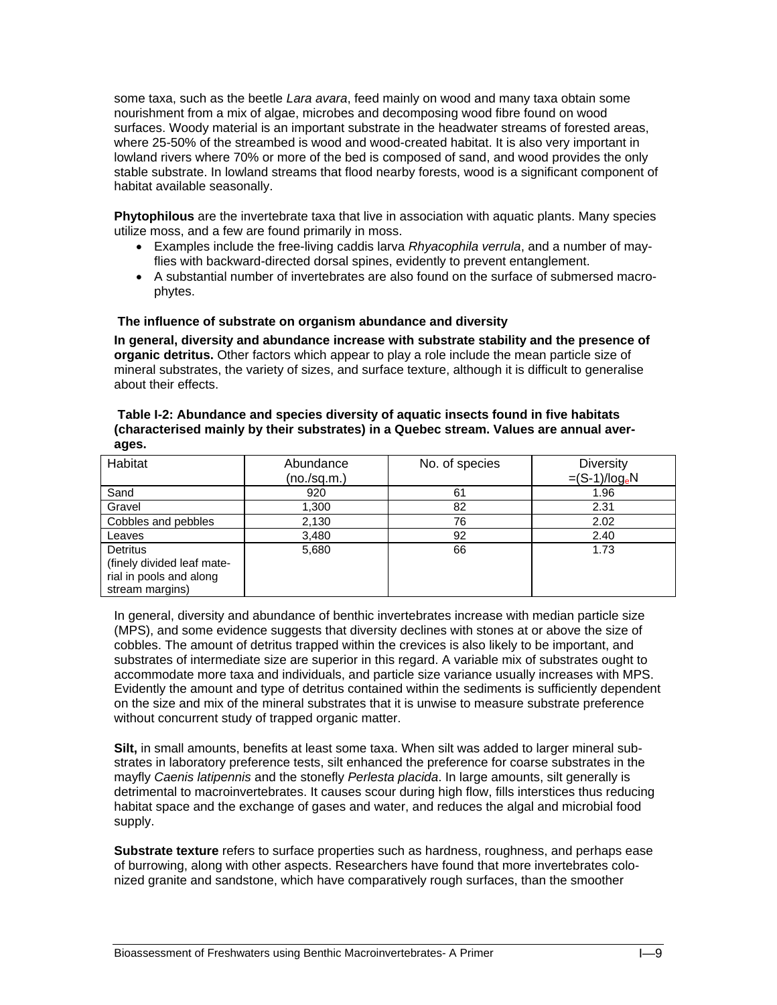some taxa, such as the beetle *Lara avara*, feed mainly on wood and many taxa obtain some nourishment from a mix of algae, microbes and decomposing wood fibre found on wood surfaces. Woody material is an important substrate in the headwater streams of forested areas, where 25-50% of the streambed is wood and wood-created habitat. It is also very important in lowland rivers where 70% or more of the bed is composed of sand, and wood provides the only stable substrate. In lowland streams that flood nearby forests, wood is a significant component of habitat available seasonally.

**Phytophilous** are the invertebrate taxa that live in association with aquatic plants. Many species utilize moss, and a few are found primarily in moss.

- Examples include the free-living caddis larva *Rhyacophila verrula*, and a number of mayflies with backward-directed dorsal spines, evidently to prevent entanglement.
- A substantial number of invertebrates are also found on the surface of submersed macrophytes.

#### **The influence of substrate on organism abundance and diversity**

**In general, diversity and abundance increase with substrate stability and the presence of organic detritus.** Other factors which appear to play a role include the mean particle size of mineral substrates, the variety of sizes, and surface texture, although it is difficult to generalise about their effects.

| Table I-2: Abundance and species diversity of aquatic insects found in five habitats   |
|----------------------------------------------------------------------------------------|
| (characterised mainly by their substrates) in a Quebec stream. Values are annual aver- |
| ages.                                                                                  |

| Habitat                                                                                     | Abundance<br>(no./sq.m.) | No. of species | <b>Diversity</b><br>$=(S-1)/log_eN$ |
|---------------------------------------------------------------------------------------------|--------------------------|----------------|-------------------------------------|
| Sand                                                                                        | 920                      | 61             | 1.96                                |
| Gravel                                                                                      | 1,300                    | 82             | 2.31                                |
| Cobbles and pebbles                                                                         | 2,130                    | 76             | 2.02                                |
| Leaves                                                                                      | 3,480                    | 92             | 2.40                                |
| <b>Detritus</b><br>(finely divided leaf mate-<br>rial in pools and along<br>stream margins) | 5,680                    | 66             | 1.73                                |

In general, diversity and abundance of benthic invertebrates increase with median particle size (MPS), and some evidence suggests that diversity declines with stones at or above the size of cobbles. The amount of detritus trapped within the crevices is also likely to be important, and substrates of intermediate size are superior in this regard. A variable mix of substrates ought to accommodate more taxa and individuals, and particle size variance usually increases with MPS. Evidently the amount and type of detritus contained within the sediments is sufficiently dependent on the size and mix of the mineral substrates that it is unwise to measure substrate preference without concurrent study of trapped organic matter.

**Silt,** in small amounts, benefits at least some taxa. When silt was added to larger mineral substrates in laboratory preference tests, silt enhanced the preference for coarse substrates in the mayfly *Caenis latipennis* and the stonefly *Perlesta placida*. In large amounts, silt generally is detrimental to macroinvertebrates. It causes scour during high flow, fills interstices thus reducing habitat space and the exchange of gases and water, and reduces the algal and microbial food supply.

**Substrate texture** refers to surface properties such as hardness, roughness, and perhaps ease of burrowing, along with other aspects. Researchers have found that more invertebrates colonized granite and sandstone, which have comparatively rough surfaces, than the smoother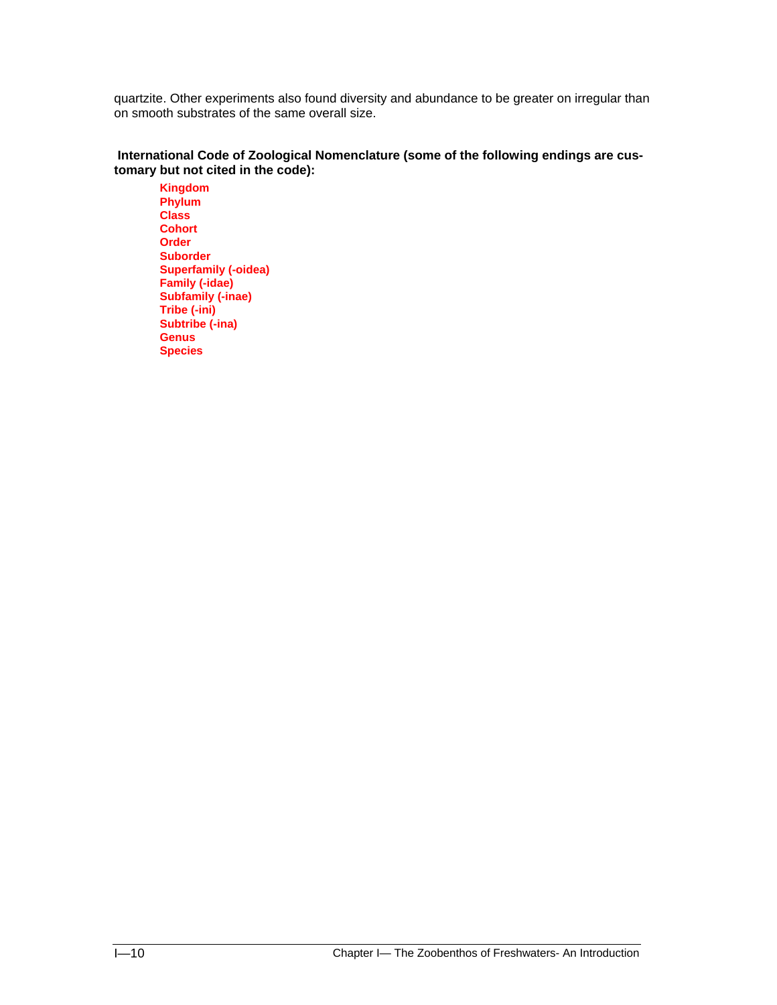quartzite. Other experiments also found diversity and abundance to be greater on irregular than on smooth substrates of the same overall size.

## **International Code of Zoological Nomenclature (some of the following endings are customary but not cited in the code):**

**Kingdom Phylum Class Cohort Order Suborder Superfamily (-oidea) Family (-idae) Subfamily (-inae) Tribe (-ini) Subtribe (-ina) Genus Species**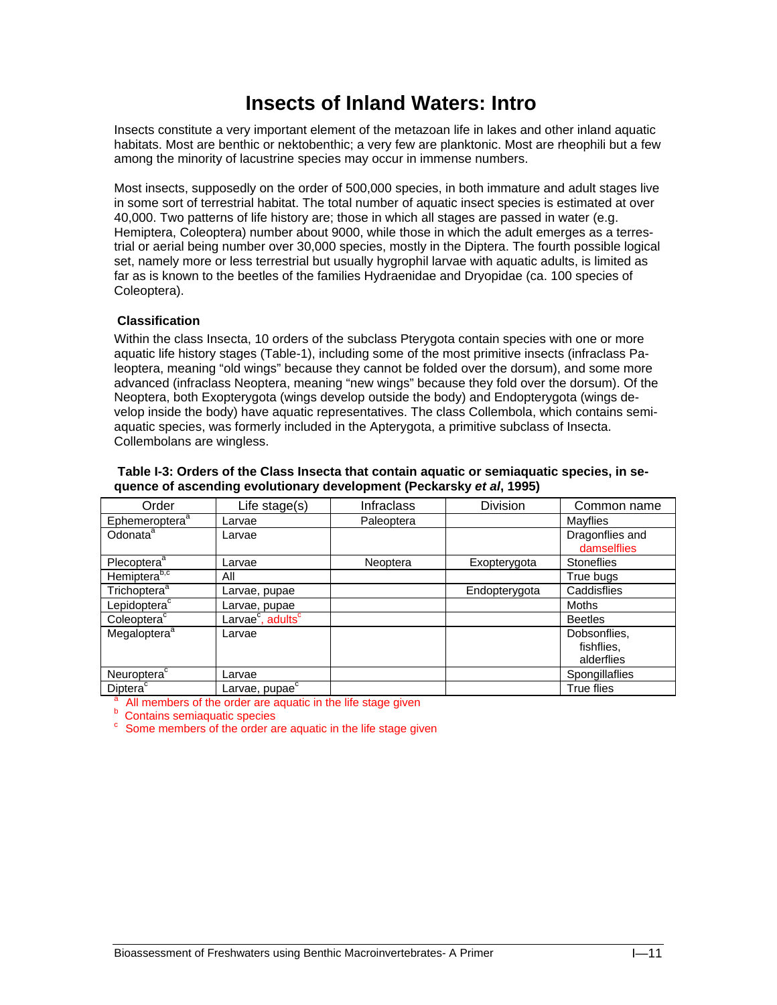# **Insects of Inland Waters: Intro**

Insects constitute a very important element of the metazoan life in lakes and other inland aquatic habitats. Most are benthic or nektobenthic; a very few are planktonic. Most are rheophili but a few among the minority of lacustrine species may occur in immense numbers.

Most insects, supposedly on the order of 500,000 species, in both immature and adult stages live in some sort of terrestrial habitat. The total number of aquatic insect species is estimated at over 40,000. Two patterns of life history are; those in which all stages are passed in water (e.g. Hemiptera, Coleoptera) number about 9000, while those in which the adult emerges as a terrestrial or aerial being number over 30,000 species, mostly in the Diptera. The fourth possible logical set, namely more or less terrestrial but usually hygrophil larvae with aquatic adults, is limited as far as is known to the beetles of the families Hydraenidae and Dryopidae (ca. 100 species of Coleoptera).

# **Classification**

Within the class Insecta, 10 orders of the subclass Pterygota contain species with one or more aquatic life history stages (Table-1), including some of the most primitive insects (infraclass Paleoptera, meaning "old wings" because they cannot be folded over the dorsum), and some more advanced (infraclass Neoptera, meaning "new wings" because they fold over the dorsum). Of the Neoptera, both Exopterygota (wings develop outside the body) and Endopterygota (wings develop inside the body) have aquatic representatives. The class Collembola, which contains semiaquatic species, was formerly included in the Apterygota, a primitive subclass of Insecta. Collembolans are wingless.

| Order                      | Life stage $(s)$                          | <b>Infraclass</b> | Division      | Common name                              |
|----------------------------|-------------------------------------------|-------------------|---------------|------------------------------------------|
| Ephemeroptera <sup>a</sup> | Larvae                                    | Paleoptera        |               | Mayflies                                 |
| Odonata <sup>a</sup>       | Larvae                                    |                   |               | Dragonflies and<br>damselflies           |
| Plecoptera <sup>a</sup>    | Larvae                                    | Neoptera          | Exopterygota  | <b>Stoneflies</b>                        |
| Hemiptera <sup>b,c</sup>   | All                                       |                   |               | True bugs                                |
| Trichoptera <sup>a</sup>   | Larvae, pupae                             |                   | Endopterygota | Caddisflies                              |
| Lepidoptera <sup>c</sup>   | Larvae, pupae                             |                   |               | <b>Moths</b>                             |
| Coleoptera <sup>c</sup>    | Larvae <sup>c</sup> , adults <sup>c</sup> |                   |               | <b>Beetles</b>                           |
| Megaloptera <sup>a</sup>   | Larvae                                    |                   |               | Dobsonflies.<br>fishflies.<br>alderflies |
| Neuroptera <sup>c</sup>    | Larvae                                    |                   |               | Spongillaflies                           |
| Diptera <sup>c</sup>       | Larvae, pupae $\sqrt{c}$                  |                   |               | <b>True flies</b>                        |

 **Table I-3: Orders of the Class Insecta that contain aquatic or semiaquatic species, in sequence of ascending evolutionary development (Peckarsky** *et al***, 1995)** 

True fluit members of the order are aquatic in the life stage given<br>  $\frac{b}{c}$  Contains semiaquatic species c Some members of the order are aquatic in the life stage given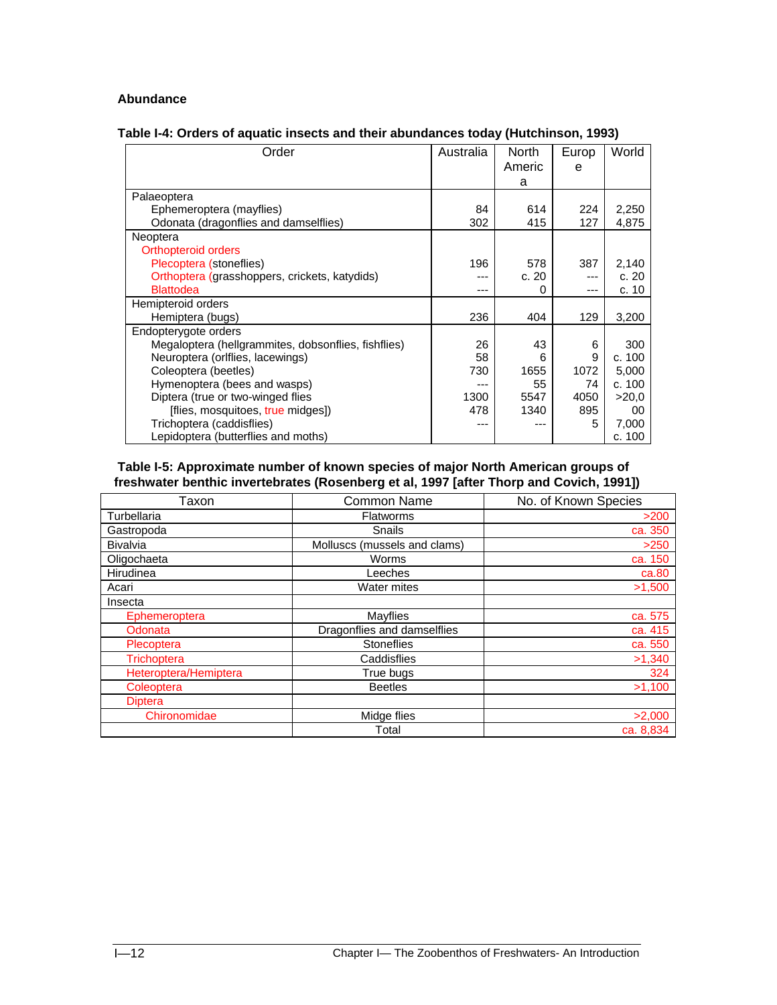# **Abundance**

| Table I-4: Orders of aquatic insects and their abundances today (Hutchinson, 1993) |
|------------------------------------------------------------------------------------|
|------------------------------------------------------------------------------------|

| Order                                               | Australia | <b>North</b> | Europ | World  |
|-----------------------------------------------------|-----------|--------------|-------|--------|
|                                                     |           | Americ       | e     |        |
|                                                     |           | a            |       |        |
| Palaeoptera                                         |           |              |       |        |
| Ephemeroptera (mayflies)                            | 84        | 614          | 224   | 2,250  |
| Odonata (dragonflies and damselflies)               | 302       | 415          | 127   | 4,875  |
| Neoptera                                            |           |              |       |        |
| Orthopteroid orders                                 |           |              |       |        |
| Plecoptera (stoneflies)                             | 196       | 578          | 387   | 2,140  |
| Orthoptera (grasshoppers, crickets, katydids)       |           | c.20         |       | c.20   |
| <b>Blattodea</b>                                    | ---       | 0            | ---   | c. 10  |
| Hemipteroid orders                                  |           |              |       |        |
| Hemiptera (bugs)                                    | 236       | 404          | 129   | 3,200  |
| Endopterygote orders                                |           |              |       |        |
| Megaloptera (hellgrammites, dobsonflies, fishflies) | 26        | 43           | 6     | 300    |
| Neuroptera (orlflies, lacewings)                    | 58        | 6            | 9     | c. 100 |
| Coleoptera (beetles)                                | 730       | 1655         | 1072  | 5,000  |
| Hymenoptera (bees and wasps)                        |           | 55           | 74    | c. 100 |
| Diptera (true or two-winged flies                   | 1300      | 5547         | 4050  | >20.0  |
| [flies, mosquitoes, true midges])                   | 478       | 1340         | 895   | 00     |
| Trichoptera (caddisflies)                           |           |              | 5     | 7,000  |
| Lepidoptera (butterflies and moths)                 |           |              |       | c. 100 |

 **Table I-5: Approximate number of known species of major North American groups of freshwater benthic invertebrates (Rosenberg et al, 1997 [after Thorp and Covich, 1991])** 

| Taxon                 | <b>Common Name</b>           | No. of Known Species |  |  |  |
|-----------------------|------------------------------|----------------------|--|--|--|
| Turbellaria           | <b>Flatworms</b>             | >200                 |  |  |  |
| Gastropoda            | Snails                       | ca. 350              |  |  |  |
| <b>Bivalvia</b>       | Molluscs (mussels and clams) | >250                 |  |  |  |
| Oligochaeta           | Worms                        | ca. 150              |  |  |  |
| Hirudinea             | Leeches                      | ca.80                |  |  |  |
| Acari                 | <b>Water mites</b>           | >1,500               |  |  |  |
| Insecta               |                              |                      |  |  |  |
| Ephemeroptera         | Mayflies                     | ca. 575              |  |  |  |
| Odonata               | Dragonflies and damselflies  | ca. 415              |  |  |  |
| Plecoptera            | <b>Stoneflies</b>            | ca. 550              |  |  |  |
| <b>Trichoptera</b>    | Caddisflies                  | >1,340               |  |  |  |
| Heteroptera/Hemiptera | True bugs                    | 324                  |  |  |  |
| Coleoptera            | <b>Beetles</b>               | >1,100               |  |  |  |
| <b>Diptera</b>        |                              |                      |  |  |  |
| Chironomidae          | Midge flies                  | >2,000               |  |  |  |
|                       | Total                        | ca. 8,834            |  |  |  |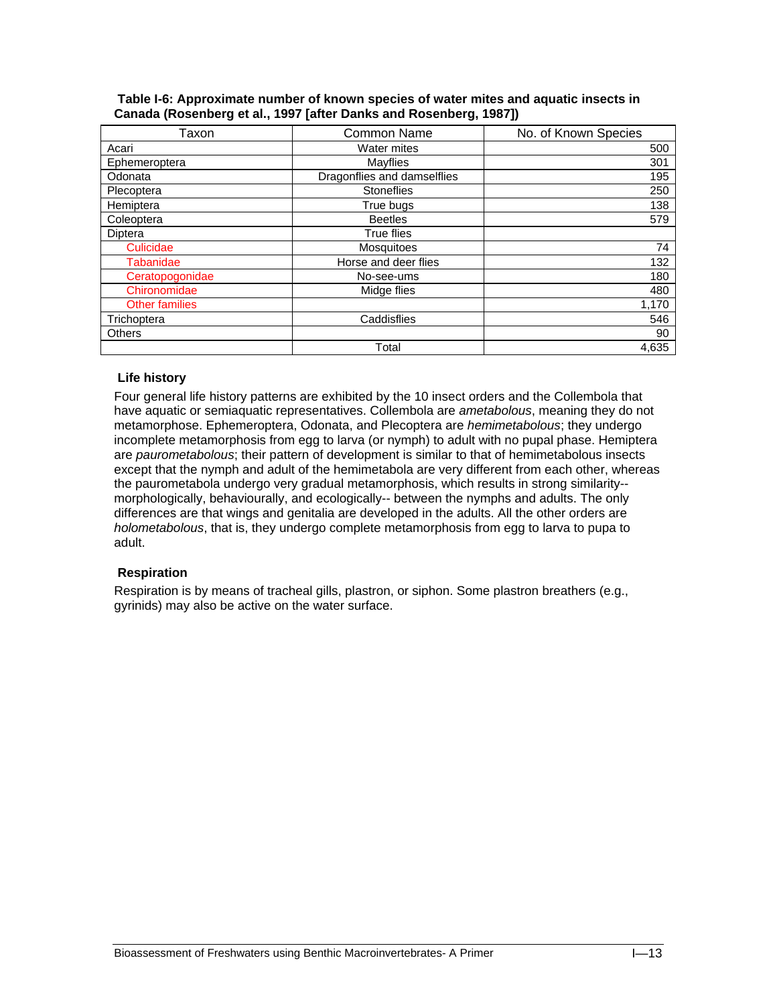| Table I-6: Approximate number of known species of water mites and aquatic insects in |  |  |  |  |
|--------------------------------------------------------------------------------------|--|--|--|--|
| Canada (Rosenberg et al., 1997 [after Danks and Rosenberg, 1987])                    |  |  |  |  |

| Taxon                 | Common Name                 | No. of Known Species |
|-----------------------|-----------------------------|----------------------|
| Acari                 | Water mites                 | 500                  |
| Ephemeroptera         | Mayflies                    | 301                  |
| Odonata               | Dragonflies and damselflies | 195                  |
| Plecoptera            | <b>Stoneflies</b>           | 250                  |
| Hemiptera             | True bugs                   | 138                  |
| Coleoptera            | <b>Beetles</b>              | 579                  |
| Diptera               | True flies                  |                      |
| Culicidae             | Mosquitoes                  | 74                   |
| Tabanidae             | Horse and deer flies        | 132                  |
| Ceratopogonidae       | No-see-ums                  | 180                  |
| Chironomidae          | Midge flies                 | 480                  |
| <b>Other families</b> |                             | 1,170                |
| Trichoptera           | Caddisflies                 | 546                  |
| <b>Others</b>         |                             | 90                   |
|                       | Total                       | 4,635                |

### **Life history**

Four general life history patterns are exhibited by the 10 insect orders and the Collembola that have aquatic or semiaquatic representatives. Collembola are *ametabolous*, meaning they do not metamorphose. Ephemeroptera, Odonata, and Plecoptera are *hemimetabolous*; they undergo incomplete metamorphosis from egg to larva (or nymph) to adult with no pupal phase. Hemiptera are *paurometabolous*; their pattern of development is similar to that of hemimetabolous insects except that the nymph and adult of the hemimetabola are very different from each other, whereas the paurometabola undergo very gradual metamorphosis, which results in strong similarity- morphologically, behaviourally, and ecologically-- between the nymphs and adults. The only differences are that wings and genitalia are developed in the adults. All the other orders are *holometabolous*, that is, they undergo complete metamorphosis from egg to larva to pupa to adult.

### **Respiration**

Respiration is by means of tracheal gills, plastron, or siphon. Some plastron breathers (e.g., gyrinids) may also be active on the water surface.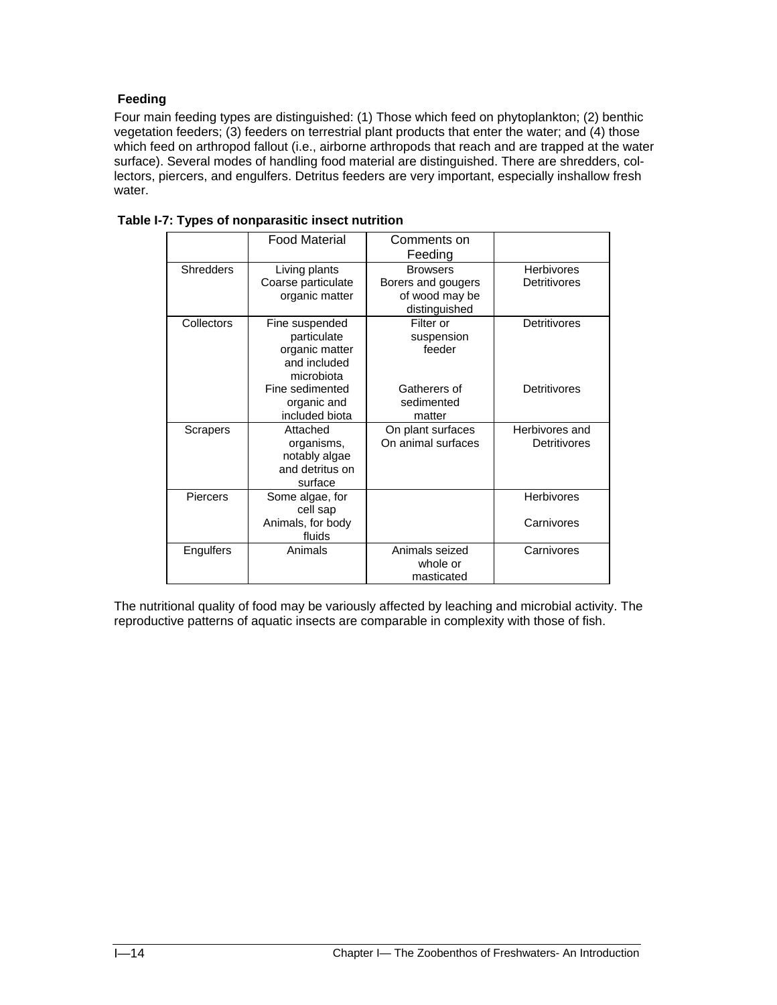# **Feeding**

Four main feeding types are distinguished: (1) Those which feed on phytoplankton; (2) benthic vegetation feeders; (3) feeders on terrestrial plant products that enter the water; and (4) those which feed on arthropod fallout (i.e., airborne arthropods that reach and are trapped at the water surface). Several modes of handling food material are distinguished. There are shredders, collectors, piercers, and engulfers. Detritus feeders are very important, especially inshallow fresh water.

|                  | <b>Food Material</b>                                                          | Comments on<br>Feeding                                                   |                                   |
|------------------|-------------------------------------------------------------------------------|--------------------------------------------------------------------------|-----------------------------------|
| <b>Shredders</b> | Living plants<br>Coarse particulate<br>organic matter                         | <b>Browsers</b><br>Borers and gougers<br>of wood may be<br>distinguished | <b>Herbivores</b><br>Detritivores |
| Collectors       | Fine suspended<br>particulate<br>organic matter<br>and included<br>microbiota | Filter or<br>suspension<br>feeder                                        | <b>Detritivores</b>               |
|                  | Fine sedimented<br>organic and<br>included biota                              | Gatherers of<br>sedimented<br>matter                                     | Detritivores                      |
| <b>Scrapers</b>  | Attached<br>organisms,<br>notably algae<br>and detritus on<br>surface         | On plant surfaces<br>On animal surfaces                                  | Herbivores and<br>Detritivores    |
| Piercers         | Some algae, for<br>cell sap<br>Animals, for body<br>fluids                    |                                                                          | <b>Herbivores</b><br>Carnivores   |
| Engulfers        | Animals                                                                       | Animals seized<br>whole or<br>masticated                                 | Carnivores                        |

 **Table I-7: Types of nonparasitic insect nutrition** 

The nutritional quality of food may be variously affected by leaching and microbial activity. The reproductive patterns of aquatic insects are comparable in complexity with those of fish.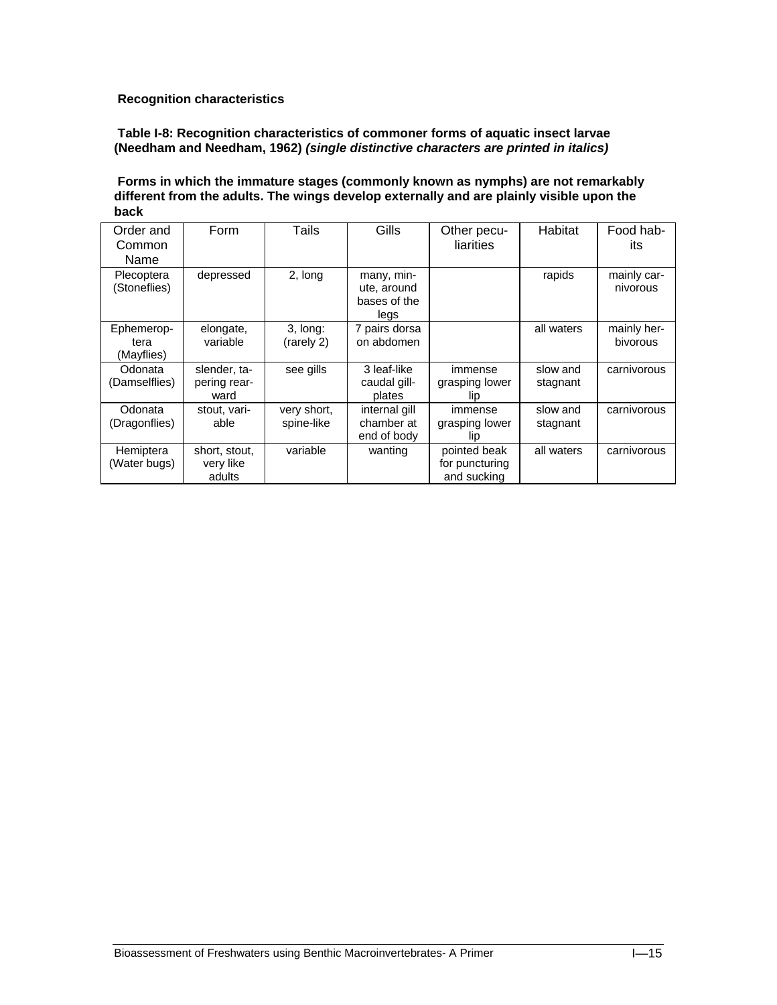# **Recognition characteristics**

### **Table I-8: Recognition characteristics of commoner forms of aquatic insect larvae (Needham and Needham, 1962)** *(single distinctive characters are printed in italics)*

#### **Forms in which the immature stages (commonly known as nymphs) are not remarkably different from the adults. The wings develop externally and are plainly visible upon the back**

| Order and<br>Common<br>Name      | Form                                 | Tails                     | Gills                                             | Other pecu-<br>liarities                      | Habitat              | Food hab-<br>its        |
|----------------------------------|--------------------------------------|---------------------------|---------------------------------------------------|-----------------------------------------------|----------------------|-------------------------|
| Plecoptera<br>(Stoneflies)       | depressed                            | 2, long                   | many, min-<br>ute, around<br>bases of the<br>legs |                                               | rapids               | mainly car-<br>nivorous |
| Ephemerop-<br>tera<br>(Mayflies) | elongate,<br>variable                | $3.$ long:<br>(rarely 2)  | 7 pairs dorsa<br>on abdomen                       |                                               | all waters           | mainly her-<br>bivorous |
| Odonata<br>(Damselflies)         | slender, ta-<br>pering rear-<br>ward | see gills                 | 3 leaf-like<br>caudal gill-<br>plates             | immense<br>grasping lower<br>lip              | slow and<br>stagnant | carnivorous             |
| Odonata<br>(Dragonflies)         | stout, vari-<br>able                 | very short,<br>spine-like | internal gill<br>chamber at<br>end of body        | immense<br>grasping lower<br>lip              | slow and<br>stagnant | carnivorous             |
| Hemiptera<br>(Water bugs)        | short, stout,<br>very like<br>adults | variable                  | wanting                                           | pointed beak<br>for puncturing<br>and sucking | all waters           | carnivorous             |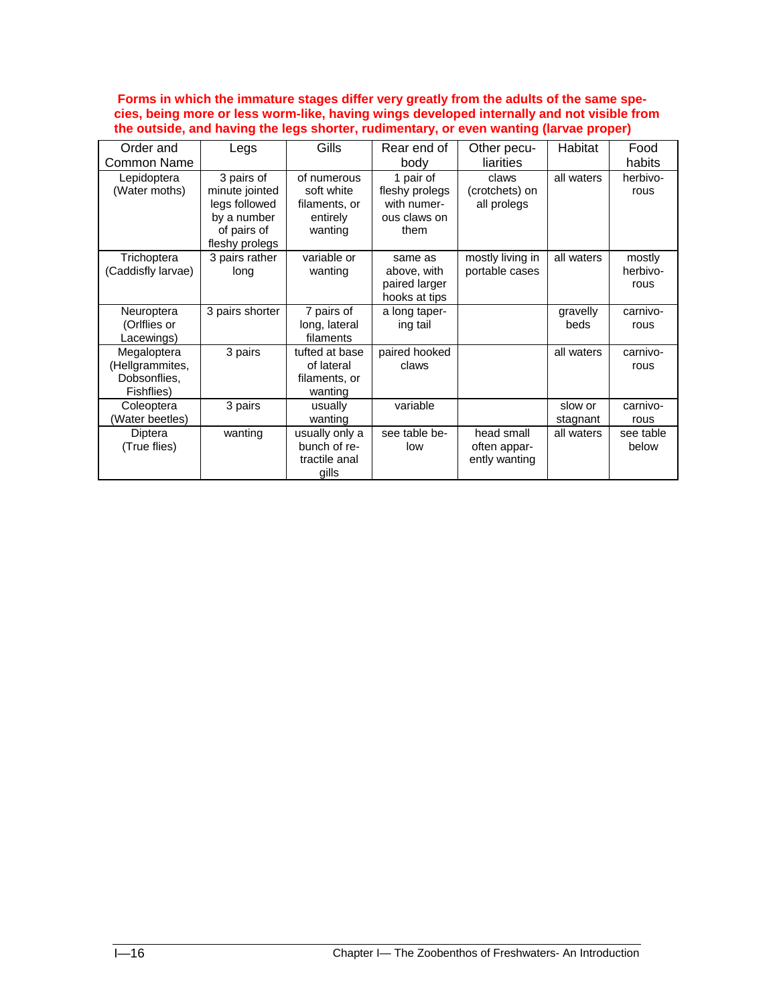**Forms in which the immature stages differ very greatly from the adults of the same species, being more or less worm-like, having wings developed internally and not visible from the outside, and having the legs shorter, rudimentary, or even wanting (larvae proper)** 

| Order and                                                    | Legs                                                                                          | Gills                                                             | Rear end of                                                        | Other pecu-                                 | Habitat             | Food                       |
|--------------------------------------------------------------|-----------------------------------------------------------------------------------------------|-------------------------------------------------------------------|--------------------------------------------------------------------|---------------------------------------------|---------------------|----------------------------|
| Common Name                                                  |                                                                                               |                                                                   | body                                                               | liarities                                   |                     | habits                     |
| Lepidoptera<br>(Water moths)                                 | 3 pairs of<br>minute jointed<br>legs followed<br>by a number<br>of pairs of<br>fleshy prolegs | of numerous<br>soft white<br>filaments, or<br>entirely<br>wanting | 1 pair of<br>fleshy prolegs<br>with numer-<br>ous claws on<br>them | claws<br>(crotchets) on<br>all prolegs      | all waters          | herbivo-<br>rous           |
| Trichoptera<br>(Caddisfly larvae)                            | 3 pairs rather<br>long                                                                        | variable or<br>wanting                                            | same as<br>above, with<br>paired larger<br>hooks at tips           | mostly living in<br>portable cases          | all waters          | mostly<br>herbivo-<br>rous |
| Neuroptera<br>(Orlflies or<br>Lacewings)                     | 3 pairs shorter                                                                               | 7 pairs of<br>long, lateral<br>filaments                          | a long taper-<br>ing tail                                          |                                             | gravelly<br>beds    | carnivo-<br>rous           |
| Megaloptera<br>(Hellgrammites,<br>Dobsonflies,<br>Fishflies) | 3 pairs                                                                                       | tufted at base<br>of lateral<br>filaments, or<br>wanting          | paired hooked<br>claws                                             |                                             | all waters          | carnivo-<br>rous           |
| Coleoptera<br>(Water beetles)                                | 3 pairs                                                                                       | usually<br>wanting                                                | variable                                                           |                                             | slow or<br>stagnant | carnivo-<br>rous           |
| Diptera<br>(True flies)                                      | wanting                                                                                       | usually only a<br>bunch of re-<br>tractile anal<br>qills          | see table be-<br>low                                               | head small<br>often appar-<br>ently wanting | all waters          | see table<br>below         |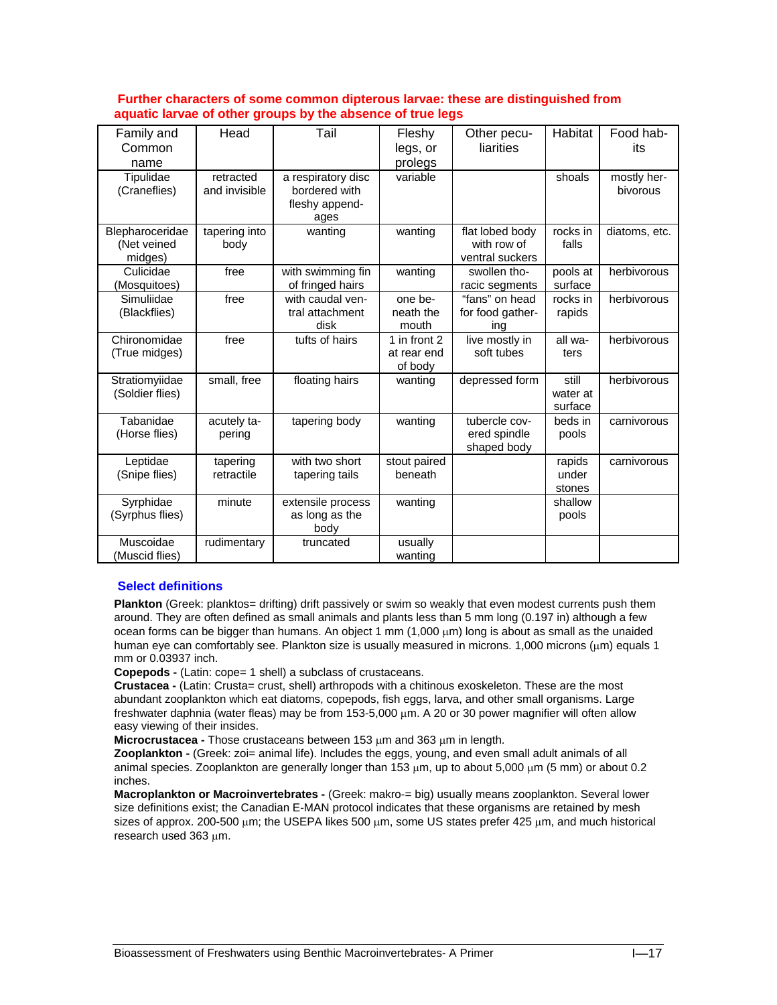#### **Further characters of some common dipterous larvae: these are distinguished from aquatic larvae of other groups by the absence of true legs**

| Family and                | Head                       | Tail                                                          | Fleshy                 | Other pecu-                    | Habitat             | Food hab-               |
|---------------------------|----------------------------|---------------------------------------------------------------|------------------------|--------------------------------|---------------------|-------------------------|
| Common                    |                            |                                                               | legs, or               | liarities                      |                     | its                     |
| name                      |                            |                                                               | prolegs                |                                |                     |                         |
| Tipulidae<br>(Craneflies) | retracted<br>and invisible | a respiratory disc<br>bordered with<br>fleshy append-<br>ages | variable               |                                | shoals              | mostly her-<br>bivorous |
| Blepharoceridae           | tapering into              | wanting                                                       | wanting                | flat lobed body                | rocks in            | diatoms, etc.           |
| (Net veined               | body                       |                                                               |                        | with row of                    | falls               |                         |
| midges)                   |                            |                                                               |                        | ventral suckers                |                     |                         |
| Culicidae<br>(Mosquitoes) | free                       | with swimming fin<br>of fringed hairs                         | wanting                | swollen tho-<br>racic segments | pools at<br>surface | herbivorous             |
| Simuliidae                | free                       | with caudal ven-                                              | one be-                | "fans" on head                 | rocks in            | herbivorous             |
| (Blackflies)              |                            | tral attachment                                               | neath the              | for food gather-               | rapids              |                         |
|                           |                            | disk                                                          | mouth                  | ing                            |                     |                         |
| Chironomidae              | free                       | tufts of hairs                                                | 1 in front 2           | live mostly in                 | all wa-             | herbivorous             |
| (True midges)             |                            |                                                               | at rear end<br>of body | soft tubes                     | ters                |                         |
| Stratiomyiidae            | small, free                | floating hairs                                                | wanting                | depressed form                 | still               | herbivorous             |
| (Soldier flies)           |                            |                                                               |                        |                                | water at            |                         |
|                           |                            |                                                               |                        |                                | surface             |                         |
| Tabanidae                 | acutely ta-                | tapering body                                                 | wanting                | tubercle cov-                  | beds in             | carnivorous             |
| (Horse flies)             | pering                     |                                                               |                        | ered spindle                   | pools               |                         |
|                           |                            |                                                               |                        | shaped body                    |                     |                         |
| Leptidae                  | tapering                   | with two short                                                | stout paired           |                                | rapids              | carnivorous             |
| (Snipe flies)             | retractile                 | tapering tails                                                | beneath                |                                | under               |                         |
|                           |                            |                                                               |                        |                                | stones              |                         |
| Syrphidae                 | minute                     | extensile process                                             | wanting                |                                | shallow             |                         |
| (Syrphus flies)           |                            | as long as the<br>body                                        |                        |                                | pools               |                         |
| Muscoidae                 | rudimentary                | truncated                                                     | usually                |                                |                     |                         |
| (Muscid flies)            |                            |                                                               | wanting                |                                |                     |                         |

#### **Select definitions**

**Plankton** (Greek: planktos= drifting) drift passively or swim so weakly that even modest currents push them around. They are often defined as small animals and plants less than 5 mm long (0.197 in) although a few ocean forms can be bigger than humans. An object 1 mm (1,000 μm) long is about as small as the unaided human eye can comfortably see. Plankton size is usually measured in microns. 1,000 microns (μm) equals 1 mm or 0.03937 inch.

**Copepods -** (Latin: cope= 1 shell) a subclass of crustaceans.

**Crustacea -** (Latin: Crusta= crust, shell) arthropods with a chitinous exoskeleton. These are the most abundant zooplankton which eat diatoms, copepods, fish eggs, larva, and other small organisms. Large freshwater daphnia (water fleas) may be from 153-5,000 μm. A 20 or 30 power magnifier will often allow easy viewing of their insides.

**Microcrustacea -** Those crustaceans between 153 μm and 363 μm in length.

**Zooplankton -** (Greek: zoi= animal life). Includes the eggs, young, and even small adult animals of all animal species. Zooplankton are generally longer than 153 μm, up to about 5,000 μm (5 mm) or about 0.2 inches.

**Macroplankton or Macroinvertebrates -** (Greek: makro-= big) usually means zooplankton. Several lower size definitions exist; the Canadian E-MAN protocol indicates that these organisms are retained by mesh sizes of approx. 200-500 μm; the USEPA likes 500 μm, some US states prefer 425 μm, and much historical research used 363 μm.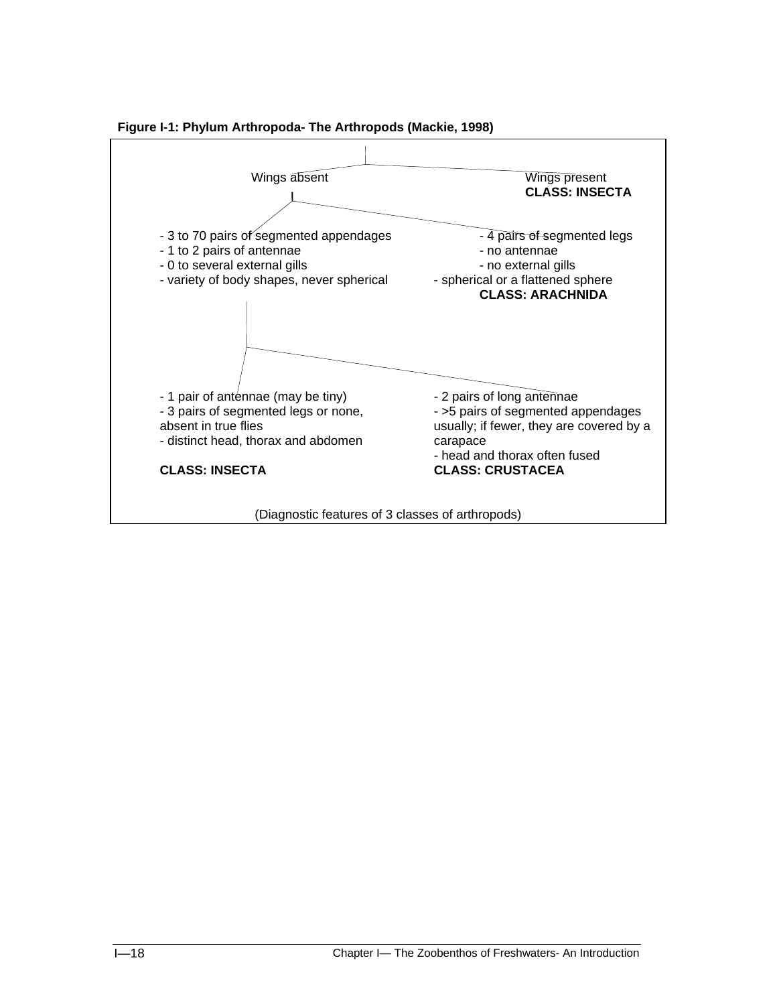

 **Figure I-1: Phylum Arthropoda- The Arthropods (Mackie, 1998)**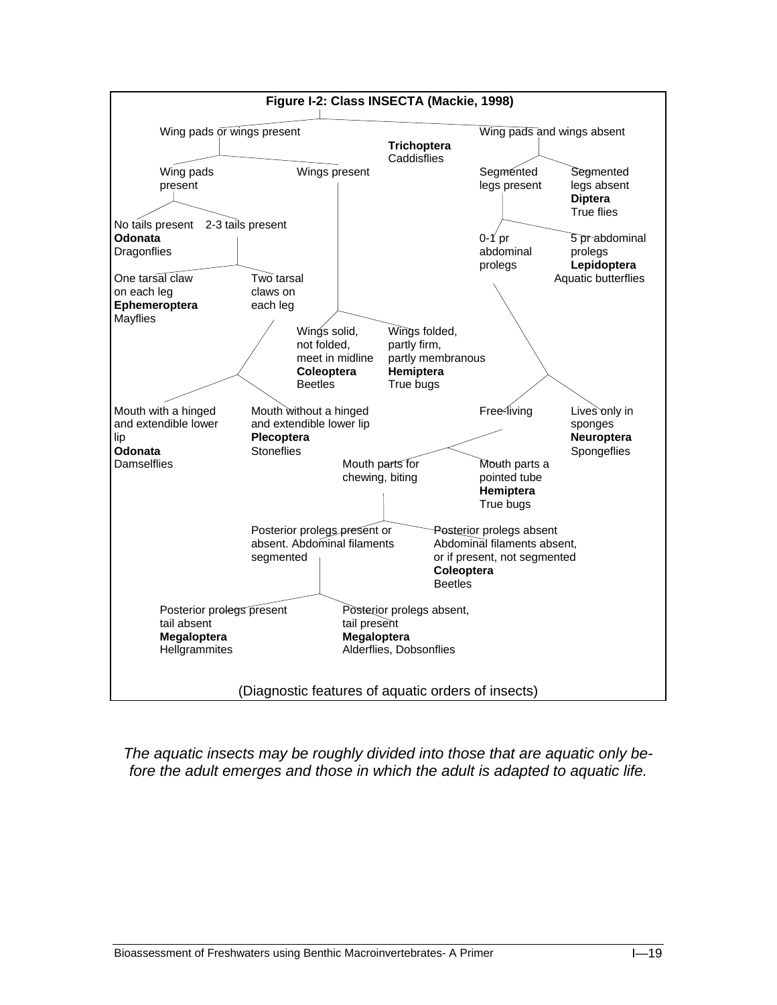

*The aquatic insects may be roughly divided into those that are aquatic only before the adult emerges and those in which the adult is adapted to aquatic life.*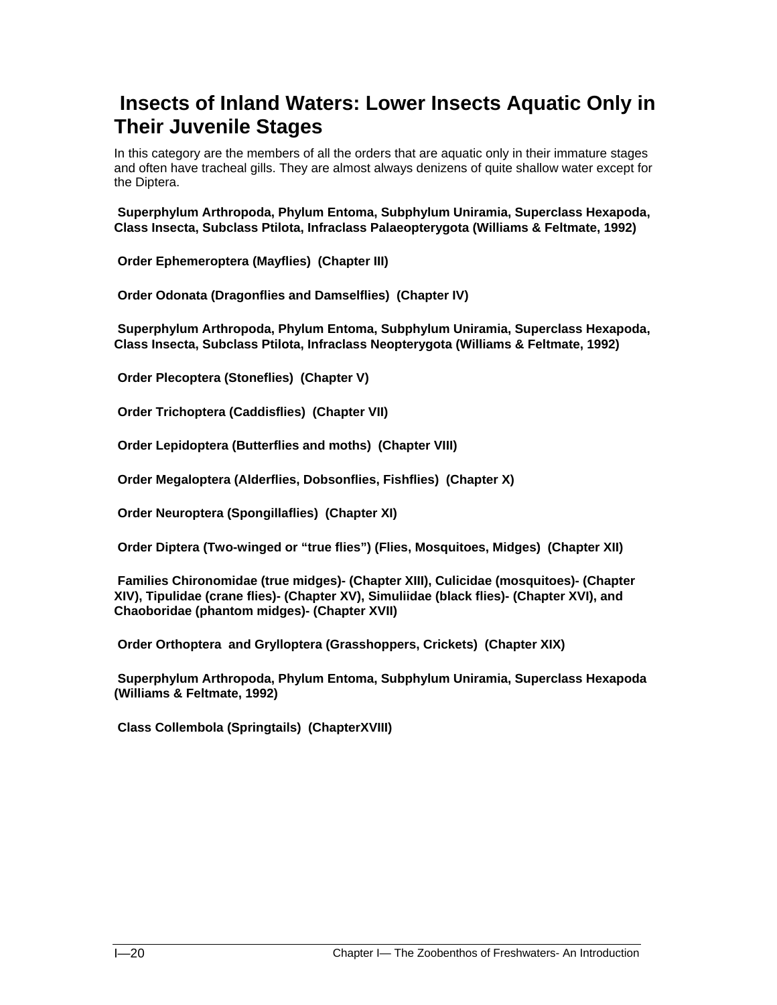# **Insects of Inland Waters: Lower Insects Aquatic Only in Their Juvenile Stages**

In this category are the members of all the orders that are aquatic only in their immature stages and often have tracheal gills. They are almost always denizens of quite shallow water except for the Diptera.

 **Superphylum Arthropoda, Phylum Entoma, Subphylum Uniramia, Superclass Hexapoda, Class Insecta, Subclass Ptilota, Infraclass Palaeopterygota (Williams & Feltmate, 1992)** 

 **Order Ephemeroptera (Mayflies) (Chapter III)** 

 **Order Odonata (Dragonflies and Damselflies) (Chapter IV)** 

 **Superphylum Arthropoda, Phylum Entoma, Subphylum Uniramia, Superclass Hexapoda, Class Insecta, Subclass Ptilota, Infraclass Neopterygota (Williams & Feltmate, 1992)** 

 **Order Plecoptera (Stoneflies) (Chapter V)** 

 **Order Trichoptera (Caddisflies) (Chapter VII)** 

 **Order Lepidoptera (Butterflies and moths) (Chapter VIII)** 

 **Order Megaloptera (Alderflies, Dobsonflies, Fishflies) (Chapter X)** 

 **Order Neuroptera (Spongillaflies) (Chapter XI)** 

 **Order Diptera (Two-winged or "true flies") (Flies, Mosquitoes, Midges) (Chapter XII)** 

 **Families Chironomidae (true midges)- (Chapter XIII), Culicidae (mosquitoes)- (Chapter XIV), Tipulidae (crane flies)- (Chapter XV), Simuliidae (black flies)- (Chapter XVI), and Chaoboridae (phantom midges)- (Chapter XVII)** 

 **Order Orthoptera and Grylloptera (Grasshoppers, Crickets) (Chapter XIX)** 

 **Superphylum Arthropoda, Phylum Entoma, Subphylum Uniramia, Superclass Hexapoda (Williams & Feltmate, 1992)** 

 **Class Collembola (Springtails) (ChapterXVIII)**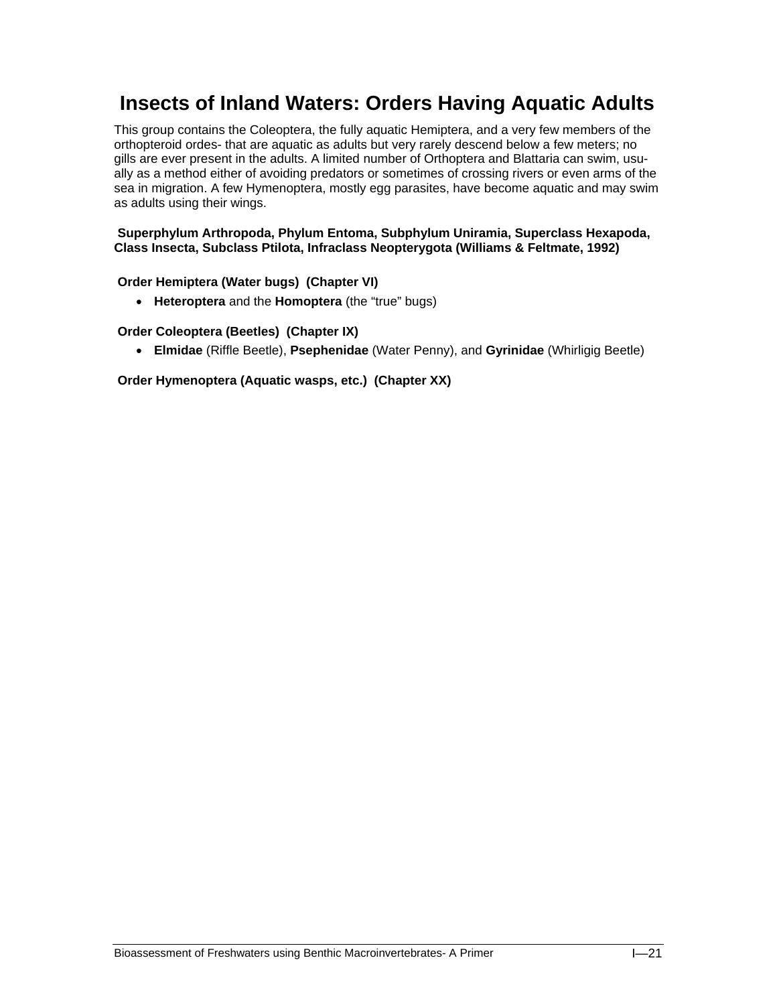# **Insects of Inland Waters: Orders Having Aquatic Adults**

This group contains the Coleoptera, the fully aquatic Hemiptera, and a very few members of the orthopteroid ordes- that are aquatic as adults but very rarely descend below a few meters; no gills are ever present in the adults. A limited number of Orthoptera and Blattaria can swim, usually as a method either of avoiding predators or sometimes of crossing rivers or even arms of the sea in migration. A few Hymenoptera, mostly egg parasites, have become aquatic and may swim as adults using their wings.

### **Superphylum Arthropoda, Phylum Entoma, Subphylum Uniramia, Superclass Hexapoda, Class Insecta, Subclass Ptilota, Infraclass Neopterygota (Williams & Feltmate, 1992)**

## **Order Hemiptera (Water bugs) (Chapter VI)**

• **Heteroptera** and the **Homoptera** (the "true" bugs)

## **Order Coleoptera (Beetles) (Chapter IX)**

• **Elmidae** (Riffle Beetle), **Psephenidae** (Water Penny), and **Gyrinidae** (Whirligig Beetle)

 **Order Hymenoptera (Aquatic wasps, etc.) (Chapter XX)**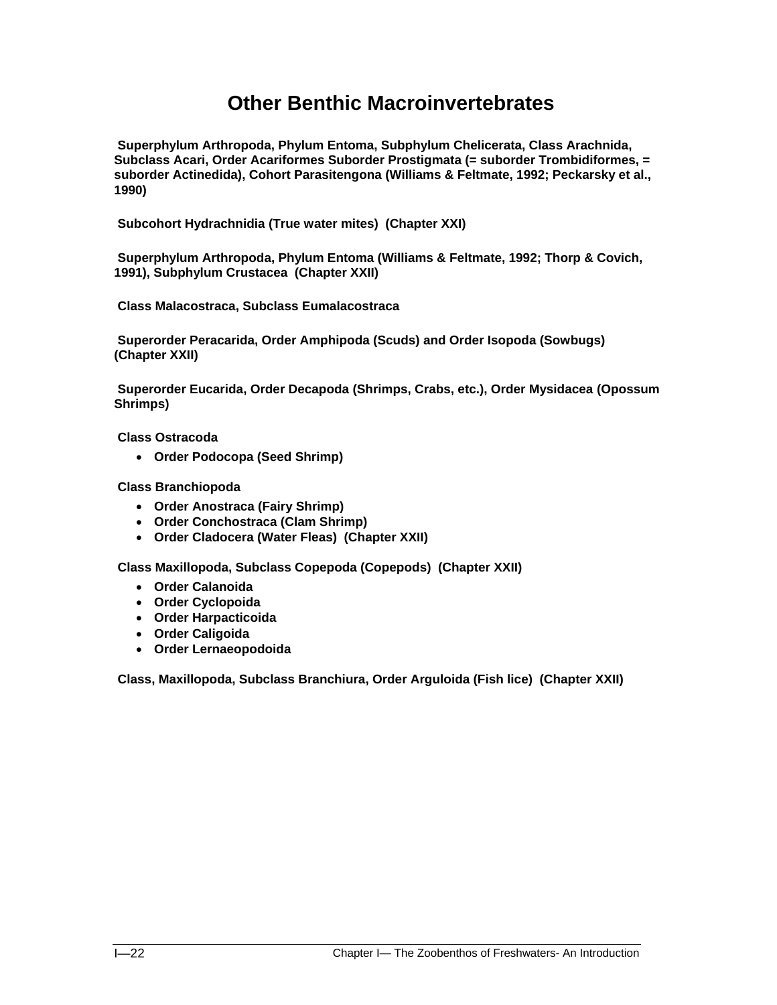# **Other Benthic Macroinvertebrates**

 **Superphylum Arthropoda, Phylum Entoma, Subphylum Chelicerata, Class Arachnida, Subclass Acari, Order Acariformes Suborder Prostigmata (= suborder Trombidiformes, = suborder Actinedida), Cohort Parasitengona (Williams & Feltmate, 1992; Peckarsky et al., 1990)** 

 **Subcohort Hydrachnidia (True water mites) (Chapter XXI)** 

 **Superphylum Arthropoda, Phylum Entoma (Williams & Feltmate, 1992; Thorp & Covich, 1991), Subphylum Crustacea (Chapter XXII)** 

 **Class Malacostraca, Subclass Eumalacostraca** 

 **Superorder Peracarida, Order Amphipoda (Scuds) and Order Isopoda (Sowbugs) (Chapter XXII)** 

 **Superorder Eucarida, Order Decapoda (Shrimps, Crabs, etc.), Order Mysidacea (Opossum Shrimps)** 

 **Class Ostracoda** 

• **Order Podocopa (Seed Shrimp)**

 **Class Branchiopoda** 

- **Order Anostraca (Fairy Shrimp)**
- **Order Conchostraca (Clam Shrimp)**
- **Order Cladocera (Water Fleas) (Chapter XXII)**

 **Class Maxillopoda, Subclass Copepoda (Copepods) (Chapter XXII)** 

- **Order Calanoida**
- **Order Cyclopoida**
- **Order Harpacticoida**
- **Order Caligoida**
- **Order Lernaeopodoida**

**Class, Maxillopoda, Subclass Branchiura, Order Arguloida (Fish lice) (Chapter XXII)**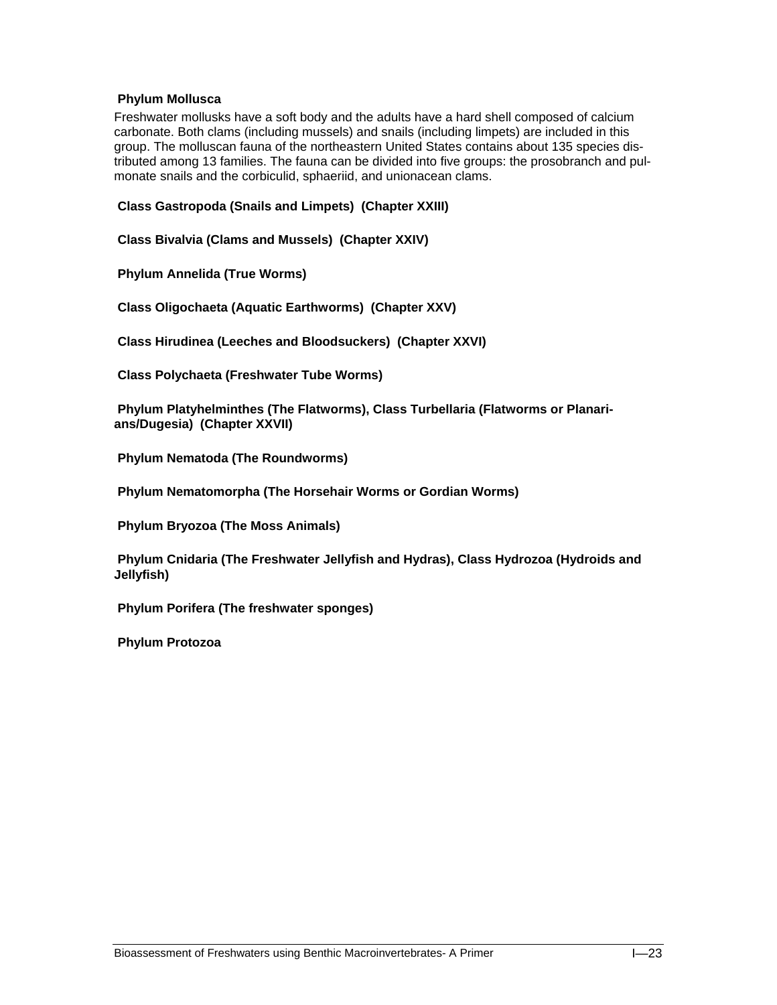### **Phylum Mollusca**

Freshwater mollusks have a soft body and the adults have a hard shell composed of calcium carbonate. Both clams (including mussels) and snails (including limpets) are included in this group. The molluscan fauna of the northeastern United States contains about 135 species distributed among 13 families. The fauna can be divided into five groups: the prosobranch and pulmonate snails and the corbiculid, sphaeriid, and unionacean clams.

 **Class Gastropoda (Snails and Limpets) (Chapter XXIII)** 

 **Class Bivalvia (Clams and Mussels) (Chapter XXIV)** 

 **Phylum Annelida (True Worms)** 

 **Class Oligochaeta (Aquatic Earthworms) (Chapter XXV)** 

 **Class Hirudinea (Leeches and Bloodsuckers) (Chapter XXVI)** 

 **Class Polychaeta (Freshwater Tube Worms)** 

 **Phylum Platyhelminthes (The Flatworms), Class Turbellaria (Flatworms or Planarians/Dugesia) (Chapter XXVII)** 

 **Phylum Nematoda (The Roundworms)** 

 **Phylum Nematomorpha (The Horsehair Worms or Gordian Worms)** 

 **Phylum Bryozoa (The Moss Animals)** 

 **Phylum Cnidaria (The Freshwater Jellyfish and Hydras), Class Hydrozoa (Hydroids and Jellyfish)** 

 **Phylum Porifera (The freshwater sponges)** 

 **Phylum Protozoa**